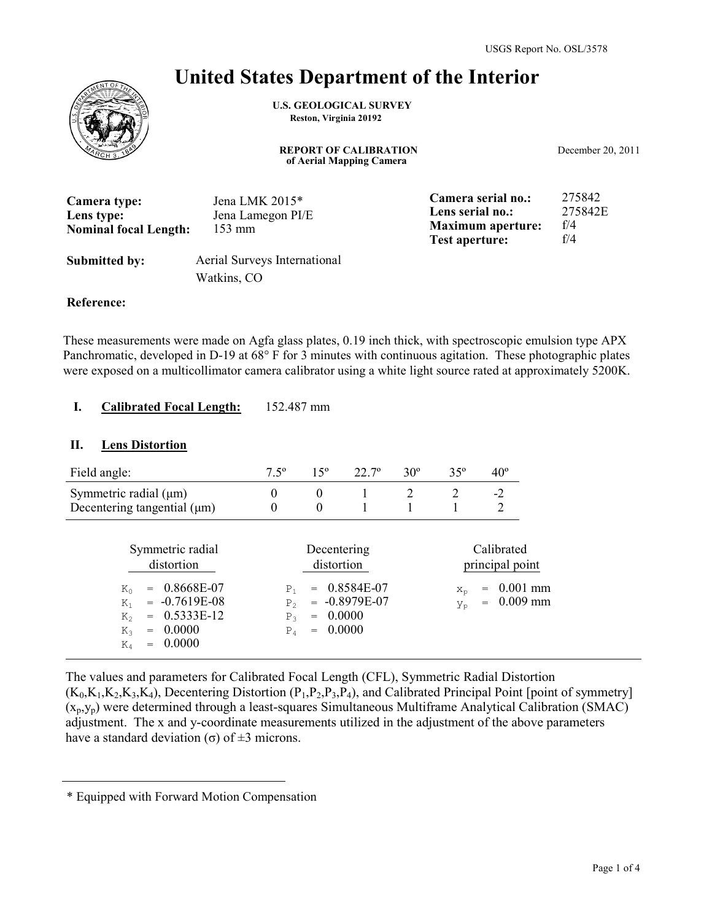# **United States Department of the Interior**

**U.S. GEOLOGICAL SURVEY Reston, Virginia 20192**

**REPORT OF CALIBRATION of Aerial Mapping Camera**

December 20, 2011

| Camera type:<br>Lens type:<br><b>Nominal focal Length:</b> | Jena LMK 2015*<br>Jena Lamegon PI/E<br>$153 \text{ mm}$ | Camera serial no.:<br>Lens serial no.:<br><b>Maximum</b> aperture:<br><b>Test aperture:</b> | 275842<br>275842E<br>f/4<br>f/4 |
|------------------------------------------------------------|---------------------------------------------------------|---------------------------------------------------------------------------------------------|---------------------------------|
| <b>Submitted by:</b>                                       | Aerial Surveys International<br>Watkins, CO             |                                                                                             |                                 |

#### **Reference:**

These measurements were made on Agfa glass plates, 0.19 inch thick, with spectroscopic emulsion type APX Panchromatic, developed in D-19 at 68° F for 3 minutes with continuous agitation. These photographic plates were exposed on a multicollimator camera calibrator using a white light source rated at approximately 5200K.

#### **Calibrated Focal Length:** 152.487 mm **I.**

#### **II. Lens Distortion**

| Field angle:                                                                                                                                                        | $7.5^{\circ}$                                                       | 15 <sup>o</sup>                                | $22.7^\circ$                                | $30^\circ$ | $35^\circ$  | $40^{\circ}$                         |                          |
|---------------------------------------------------------------------------------------------------------------------------------------------------------------------|---------------------------------------------------------------------|------------------------------------------------|---------------------------------------------|------------|-------------|--------------------------------------|--------------------------|
| Symmetric radial $(\mu m)$<br>Decentering tangential $(\mu m)$                                                                                                      | $\boldsymbol{0}$<br>$\theta$                                        | $\boldsymbol{0}$<br>$\theta$                   |                                             | 2          | 2           | $-2$<br>$\overline{2}$               |                          |
| Symmetric radial<br>distortion<br>0.8668E-07<br>$K_{0}$<br>$= -0.7619E-08$<br>$K_1$<br>0.5333E-12<br>$K_{2}$<br>$= 0.0000$<br>$K_{2}$<br>0.0000<br>$\rm K_4$<br>$=$ | P <sub>1</sub><br>P <sub>2</sub><br>P <sub>3</sub><br>$P_{\Lambda}$ | Decentering<br>distortion<br>$=$<br>$= 0.0000$ | $= 0.8584E-07$<br>$= -0.8979E-07$<br>0.0000 |            | $X_n$<br>Уp | Calibrated<br>principal point<br>$=$ | $0.001$ mm<br>$0.009$ mm |

The values and parameters for Calibrated Focal Length (CFL), Symmetric Radial Distortion  $(K_0,K_1,K_2,K_3,K_4)$ , Decentering Distortion  $(P_1,P_2,P_3,P_4)$ , and Calibrated Principal Point [point of symmetry]  $(x_p, y_p)$  were determined through a least-squares Simultaneous Multiframe Analytical Calibration (SMAC) adjustment. The x and y-coordinate measurements utilized in the adjustment of the above parameters have a standard deviation (σ) of  $\pm$ 3 microns.

<sup>\*</sup> Equipped with Forward Motion Compensation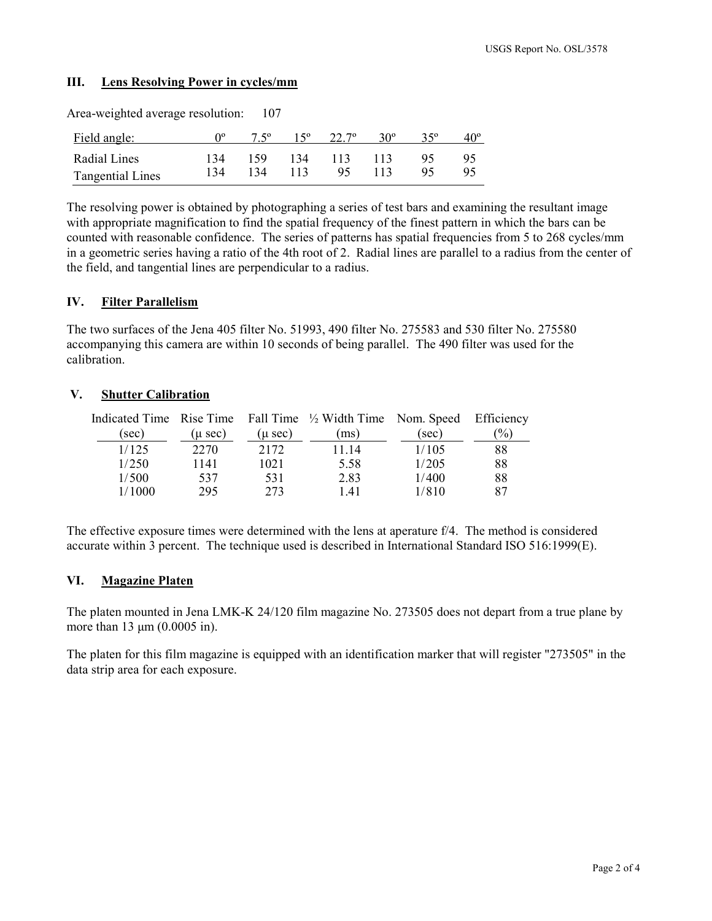### **III. Lens Resolving Power in cycles/mm**

| Area-weighted average resolution: |                  | 107         |     |              |            |     |              |
|-----------------------------------|------------------|-------------|-----|--------------|------------|-----|--------------|
| Field angle:                      | $\Omega^{\rm o}$ | $7.5^\circ$ |     | $22.7^\circ$ | $30^\circ$ | 350 | $40^{\circ}$ |
| Radial Lines                      | 134              | 159         | 134 | 113          | 113        | 95  | 95           |
| <b>Tangential Lines</b>           | 134              | 134         | 113 | 95           | 113        | 95  | 95           |

The resolving power is obtained by photographing a series of test bars and examining the resultant image with appropriate magnification to find the spatial frequency of the finest pattern in which the bars can be counted with reasonable confidence. The series of patterns has spatial frequencies from 5 to 268 cycles/mm in a geometric series having a ratio of the 4th root of 2. Radial lines are parallel to a radius from the center of the field, and tangential lines are perpendicular to a radius.

#### **IV. Filter Parallelism**

The two surfaces of the Jena 405 filter No. 51993, 490 filter No. 275583 and 530 filter No. 275580 accompanying this camera are within 10 seconds of being parallel. The 490 filter was used for the calibration.

#### **V. Shutter Calibration**

| $(\mu \sec)$ | $(\mu \sec)$ | (ms)  | (sec) | $\%$                                                                              |
|--------------|--------------|-------|-------|-----------------------------------------------------------------------------------|
| 2270         | 2172         | 11 14 | 1/105 | 88                                                                                |
| 1141         | 1021         | 5.58  | 1/205 | 88                                                                                |
| 537          | 531          | 2.83  | 1/400 | 88                                                                                |
| 295          | 273          | 1.41  | 1/810 | 87                                                                                |
|              |              |       |       | Indicated Time Rise Time Fall Time $\frac{1}{2}$ Width Time Nom. Speed Efficiency |

The effective exposure times were determined with the lens at aperature f/4. The method is considered accurate within 3 percent. The technique used is described in International Standard ISO 516:1999(E).

#### **VI. Magazine Platen**

The platen mounted in Jena LMK-K 24/120 film magazine No. 273505 does not depart from a true plane by more than 13  $\mu$ m (0.0005 in).

The platen for this film magazine is equipped with an identification marker that will register "273505" in the data strip area for each exposure.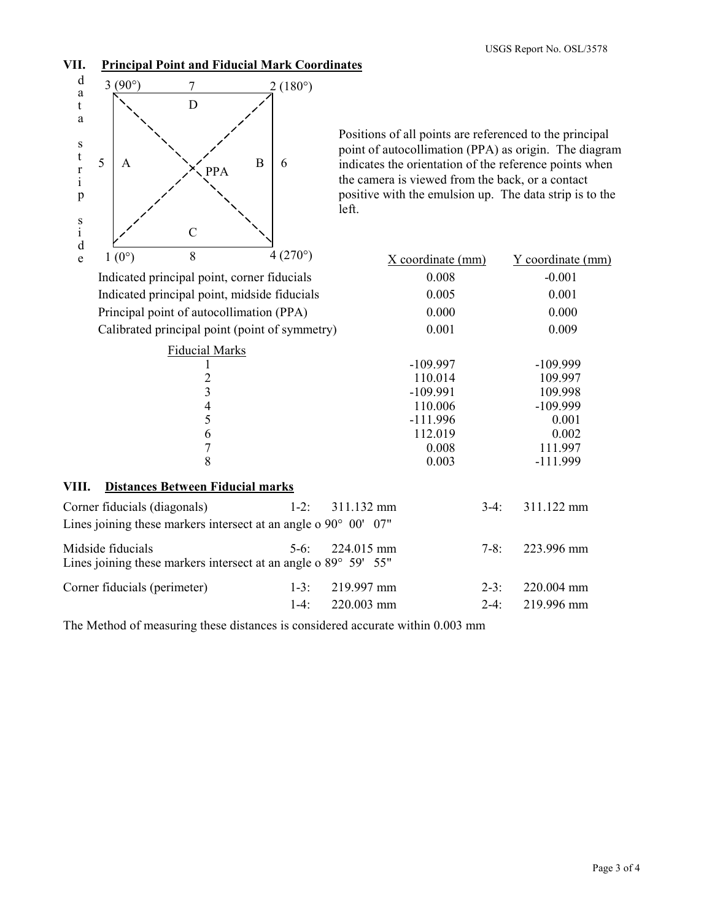## **VII. Principal Point and Fiducial Mark Coordinates**



Positions of all points are referenced to the principal point of autocollimation (PPA) as origin. The diagram indicates the orientation of the reference points when the camera is viewed from the back, or a contact positive with the emulsion up. The data strip is to the left.

| e     | $1(0^{\circ})$               | 8                                       | $4(270^{\circ})$                                                                    | X coordinate (mm) |         | Y coordinate (mm) |
|-------|------------------------------|-----------------------------------------|-------------------------------------------------------------------------------------|-------------------|---------|-------------------|
|       |                              |                                         | Indicated principal point, corner fiducials                                         | 0.008             |         | $-0.001$          |
|       |                              |                                         | Indicated principal point, midside fiducials                                        | 0.005             |         | 0.001             |
|       |                              |                                         | Principal point of autocollimation (PPA)                                            | 0.000             |         | 0.000             |
|       |                              |                                         | Calibrated principal point (point of symmetry)                                      | 0.001             |         | 0.009             |
|       |                              | <b>Fiducial Marks</b>                   |                                                                                     |                   |         |                   |
|       |                              |                                         |                                                                                     | $-109.997$        |         | $-109.999$        |
|       |                              | $\overline{c}$                          |                                                                                     | 110.014           |         | 109.997           |
|       |                              | 3                                       |                                                                                     | $-109.991$        |         | 109.998           |
|       |                              | $rac{4}{5}$                             |                                                                                     | 110.006           |         | $-109.999$        |
|       |                              |                                         |                                                                                     | $-111.996$        |         | 0.001             |
|       |                              | 6                                       |                                                                                     | 112.019           |         | 0.002             |
|       |                              | $\overline{7}$                          |                                                                                     | 0.008             |         | 111.997           |
|       |                              | 8                                       |                                                                                     | 0.003             |         | $-111.999$        |
| VIII. |                              | <b>Distances Between Fiducial marks</b> |                                                                                     |                   |         |                   |
|       | Corner fiducials (diagonals) |                                         | $1-2$ :                                                                             | 311.132 mm        | $3-4$ : | 311.122 mm        |
|       |                              |                                         | Lines joining these markers intersect at an angle o $90^{\circ}$ 00' 07"            |                   |         |                   |
|       | Midside fiducials            |                                         | $5-6$ :<br>Lines joining these markers intersect at an angle o $89^{\circ}$ 59' 55" | 224.015 mm        | $7-8:$  | 223.996 mm        |
|       | Corner fiducials (perimeter) |                                         | $1-3:$                                                                              | 219.997 mm        | $2-3$ : | 220.004 mm        |
|       |                              |                                         | $1-4$ :                                                                             | 220.003 mm        | $2-4:$  | 219.996 mm        |

The Method of measuring these distances is considered accurate within 0.003 mm